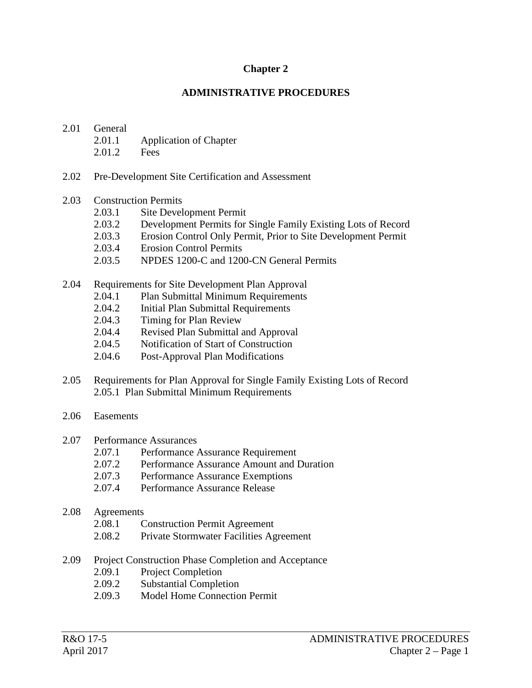### **Chapter 2**

#### **ADMINISTRATIVE PROCEDURES**

### <span id="page-0-1"></span><span id="page-0-0"></span>2.01 General

- 2.01.1 Application of Chapter
- 2.01.2 Fees
- 2.02 Pre-Development Site Certification and Assessment

#### 2.03 Construction Permits

- 2.03.1 Site Development Permit
- 2.03.2 Development Permits for Single Family Existing Lots of Record
- 2.03.3 Erosion Control Only Permit, Prior to Site Development Permit
- 2.03.4 Erosion Control Permits
- 2.03.5 NPDES 1200-C and 1200-CN General Permits

### 2.04 Requirements for Site Development Plan Approval

- 2.04.1 Plan Submittal Minimum Requirements
- 2.04.2 Initial Plan Submittal Requirements
- 2.04.3 Timing for Plan Review
- 2.04.4 Revised Plan Submittal and Approval
- 2.04.5 Notification of Start of Construction
- 2.04.6 Post-Approval Plan Modifications
- 2.05 Requirements for Plan Approval for Single Family Existing Lots of Record 2.05.1 Plan Submittal Minimum Requirements
- 2.06 Easements
- 2.07 Performance Assurances
	- 2.07.1 Performance Assurance Requirement
	- 2.07.2 Performance Assurance Amount and Duration
	- 2.07.3 Performance Assurance Exemptions
	- 2.07.4 Performance Assurance Release
- 2.08 Agreements
	- 2.08.1 Construction Permit Agreement
	- 2.08.2 Private Stormwater Facilities Agreement
- 2.09 Project Construction Phase Completion and Acceptance
	- 2.09.1 Project Completion
	- 2.09.2 Substantial Completion
	- 2.09.3 Model Home Connection Permit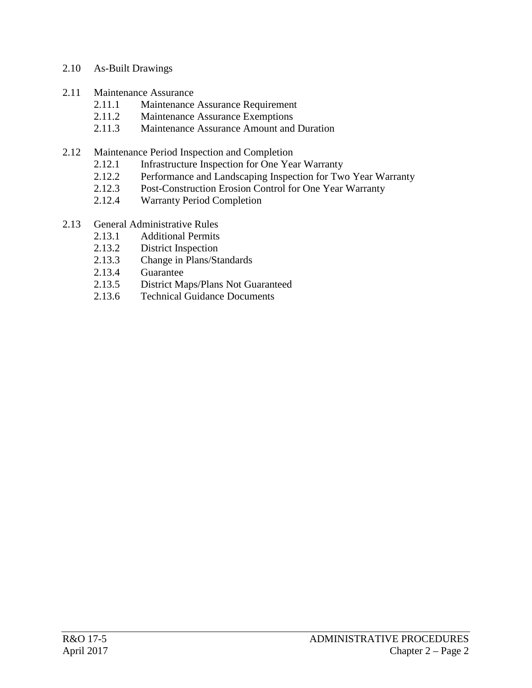### 2.10 As-Built Drawings

- 2.11 Maintenance Assurance
	- 2.11.1 Maintenance Assurance Requirement
	- 2.11.2 Maintenance Assurance Exemptions
	- 2.11.3 Maintenance Assurance Amount and Duration
- 2.12 Maintenance Period Inspection and Completion
	- 2.12.1 Infrastructure Inspection for One Year Warranty
	- 2.12.2 Performance and Landscaping Inspection for Two Year Warranty<br>2.12.3 Post-Construction Erosion Control for One Year Warranty
	- Post-Construction Erosion Control for One Year Warranty
	- 2.12.4 Warranty Period Completion
- 2.13 General Administrative Rules
	- 2.13.1 Additional Permits
	- 2.13.2 District Inspection
	- 2.13.3 Change in Plans/Standards
	- 2.13.4 Guarantee
	- 2.13.5 District Maps/Plans Not Guaranteed
	- 2.13.6 Technical Guidance Documents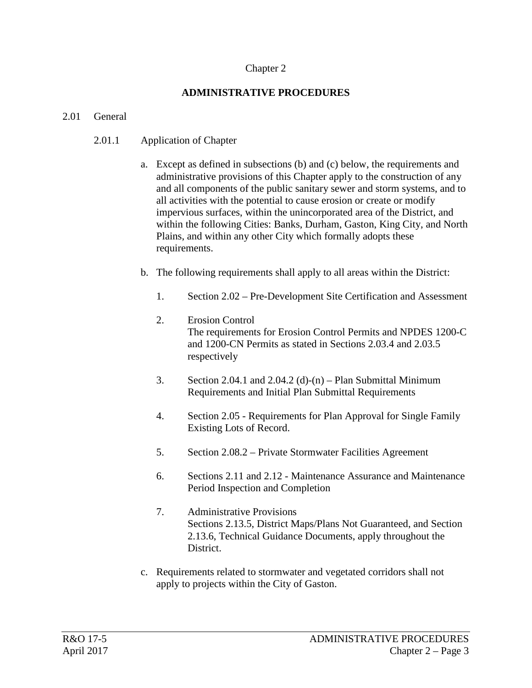### [Chapter 2](#page-0-0)

# **[ADMINISTRATIVE](#page-0-1) PROCEDURES**

### 2.01 General

## 2.01.1 Application of Chapter

- a. Except as defined in subsections (b) and (c) below, the requirements and administrative provisions of this Chapter apply to the construction of any and all components of the public sanitary sewer and storm systems, and to all activities with the potential to cause erosion or create or modify impervious surfaces, within the unincorporated area of the District, and within the following Cities: Banks, Durham, Gaston, King City, and North Plains, and within any other City which formally adopts these requirements.
- b. The following requirements shall apply to all areas within the District:
	- 1. Section 2.02 Pre-Development Site Certification and Assessment
	- 2. Erosion Control The requirements for Erosion Control Permits and NPDES 1200-C and 1200-CN Permits as stated in Sections 2.03.4 and 2.03.5 respectively
	- 3. Section 2.04.1 and 2.04.2 (d)-(n) Plan Submittal Minimum Requirements and Initial Plan Submittal Requirements
	- 4. Section 2.05 Requirements for Plan Approval for Single Family Existing Lots of Record.
	- 5. Section 2.08.2 Private Stormwater Facilities Agreement
	- 6. Sections 2.11 and 2.12 Maintenance Assurance and Maintenance Period Inspection and Completion
	- 7. Administrative Provisions Sections 2.13.5, District Maps/Plans Not Guaranteed, and Section 2.13.6, Technical Guidance Documents, apply throughout the District.
- c. Requirements related to stormwater and vegetated corridors shall not apply to projects within the City of Gaston.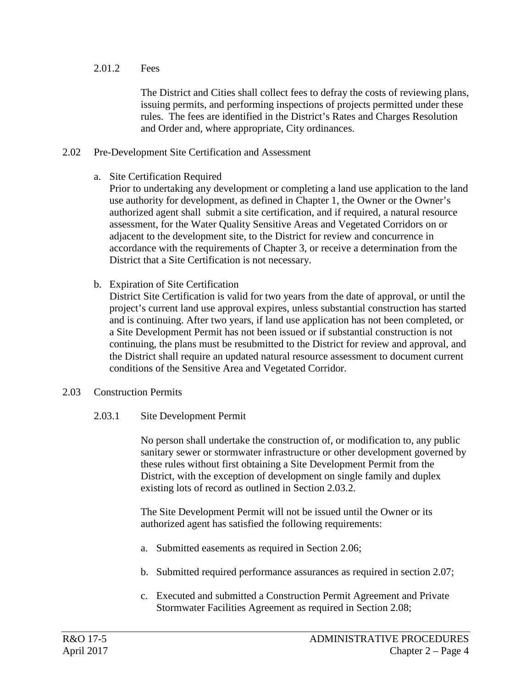2.01.2 Fees

The District and Cities shall collect fees to defray the costs of reviewing plans, issuing permits, and performing inspections of projects permitted under these rules. The fees are identified in the District's Rates and Charges Resolution and Order and, where appropriate, City ordinances.

#### 2.02 Pre-Development Site Certification and Assessment

a. Site Certification Required

Prior to undertaking any development or completing a land use application to the land use authority for development, as defined in Chapter 1, the Owner or the Owner's authorized agent shall submit a site certification, and if required, a natural resource assessment, for the Water Quality Sensitive Areas and Vegetated Corridors on or adjacent to the development site, to the District for review and concurrence in accordance with the requirements of Chapter 3, or receive a determination from the District that a Site Certification is not necessary.

b. Expiration of Site Certification

District Site Certification is valid for two years from the date of approval, or until the project's current land use approval expires, unless substantial construction has started and is continuing. After two years, if land use application has not been completed, or a Site Development Permit has not been issued or if substantial construction is not continuing, the plans must be resubmitted to the District for review and approval, and the District shall require an updated natural resource assessment to document current conditions of the Sensitive Area and Vegetated Corridor.

2.03 Construction Permits

### 2.03.1 Site Development Permit

No person shall undertake the construction of, or modification to, any public sanitary sewer or stormwater infrastructure or other development governed by these rules without first obtaining a Site Development Permit from the District, with the exception of development on single family and duplex existing lots of record as outlined in Section 2.03.2.

The Site Development Permit will not be issued until the Owner or its authorized agent has satisfied the following requirements:

- a. Submitted easements as required in Section 2.06;
- b. Submitted required performance assurances as required in section 2.07;
- c. Executed and submitted a Construction Permit Agreement and Private Stormwater Facilities Agreement as required in Section 2.08;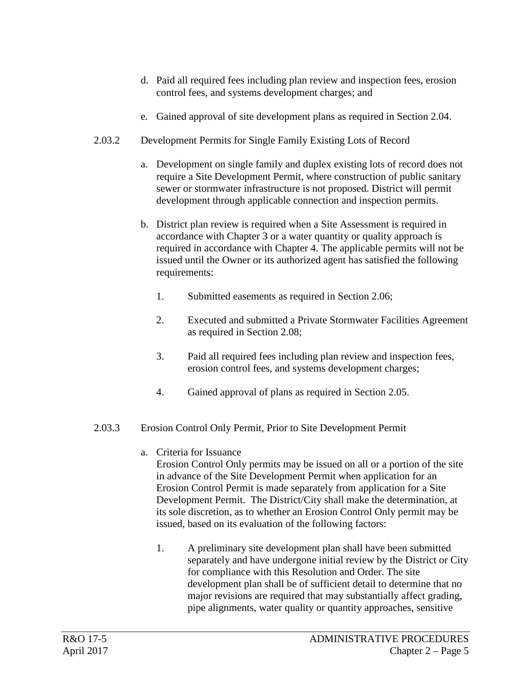- d. Paid all required fees including plan review and inspection fees, erosion control fees, and systems development charges; and
- e. Gained approval of site development plans as required in Section 2.04.
- 2.03.2 Development Permits for Single Family Existing Lots of Record
	- a. Development on single family and duplex existing lots of record does not require a Site Development Permit, where construction of public sanitary sewer or stormwater infrastructure is not proposed. District will permit development through applicable connection and inspection permits.
	- b. District plan review is required when a Site Assessment is required in accordance with Chapter 3 or a water quantity or quality approach is required in accordance with Chapter 4. The applicable permits will not be issued until the Owner or its authorized agent has satisfied the following requirements:
		- 1. Submitted easements as required in Section 2.06;
		- 2. Executed and submitted a Private Stormwater Facilities Agreement as required in Section 2.08;
		- 3. Paid all required fees including plan review and inspection fees, erosion control fees, and systems development charges;
		- 4. Gained approval of plans as required in Section 2.05.

# 2.03.3 Erosion Control Only Permit, Prior to Site Development Permit

a. Criteria for Issuance

Erosion Control Only permits may be issued on all or a portion of the site in advance of the Site Development Permit when application for an Erosion Control Permit is made separately from application for a Site Development Permit. The District/City shall make the determination, at its sole discretion, as to whether an Erosion Control Only permit may be issued, based on its evaluation of the following factors:

1. A preliminary site development plan shall have been submitted separately and have undergone initial review by the District or City for compliance with this Resolution and Order. The site development plan shall be of sufficient detail to determine that no major revisions are required that may substantially affect grading, pipe alignments, water quality or quantity approaches, sensitive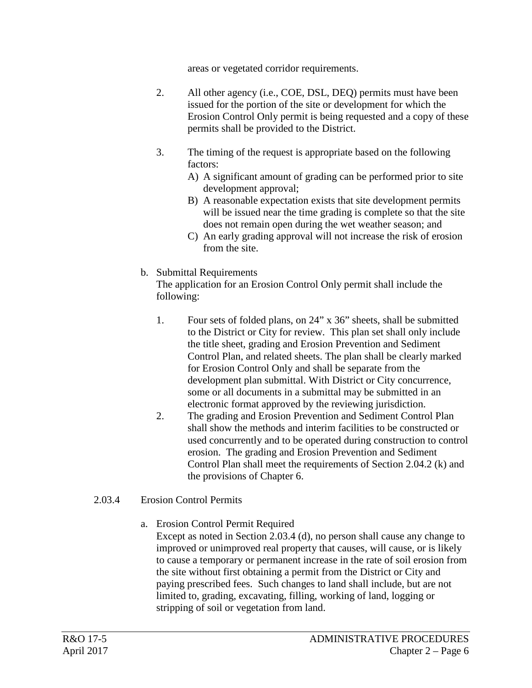areas or vegetated corridor requirements.

- 2. All other agency (i.e., COE, DSL, DEQ) permits must have been issued for the portion of the site or development for which the Erosion Control Only permit is being requested and a copy of these permits shall be provided to the District.
- 3. The timing of the request is appropriate based on the following factors:
	- A) A significant amount of grading can be performed prior to site development approval;
	- B) A reasonable expectation exists that site development permits will be issued near the time grading is complete so that the site does not remain open during the wet weather season; and
	- C) An early grading approval will not increase the risk of erosion from the site.
- b. Submittal Requirements

The application for an Erosion Control Only permit shall include the following:

- 1. Four sets of folded plans, on 24" x 36" sheets, shall be submitted to the District or City for review. This plan set shall only include the title sheet, grading and Erosion Prevention and Sediment Control Plan, and related sheets. The plan shall be clearly marked for Erosion Control Only and shall be separate from the development plan submittal. With District or City concurrence, some or all documents in a submittal may be submitted in an electronic format approved by the reviewing jurisdiction.
- 2. The grading and Erosion Prevention and Sediment Control Plan shall show the methods and interim facilities to be constructed or used concurrently and to be operated during construction to control erosion. The grading and Erosion Prevention and Sediment Control Plan shall meet the requirements of Section 2.04.2 (k) and the provisions of Chapter 6.
- 2.03.4 Erosion Control Permits
	- a. Erosion Control Permit Required

Except as noted in Section 2.03.4 (d), no person shall cause any change to improved or unimproved real property that causes, will cause, or is likely to cause a temporary or permanent increase in the rate of soil erosion from the site without first obtaining a permit from the District or City and paying prescribed fees. Such changes to land shall include, but are not limited to, grading, excavating, filling, working of land, logging or stripping of soil or vegetation from land.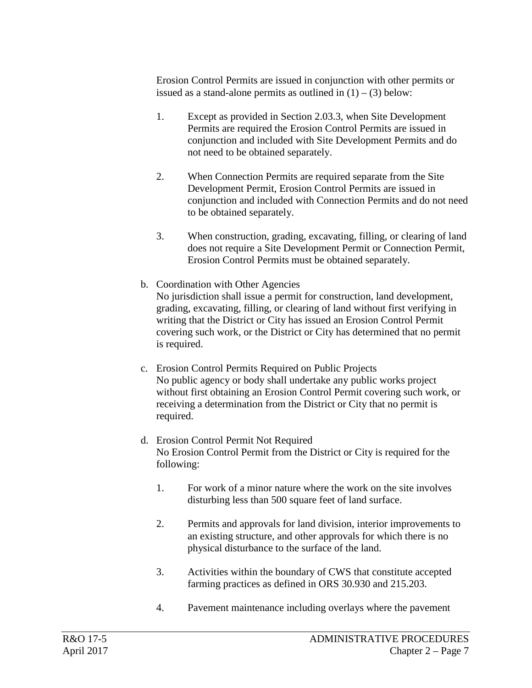Erosion Control Permits are issued in conjunction with other permits or issued as a stand-alone permits as outlined in  $(1) - (3)$  below:

- 1. Except as provided in Section 2.03.3, when Site Development Permits are required the Erosion Control Permits are issued in conjunction and included with Site Development Permits and do not need to be obtained separately.
- 2. When Connection Permits are required separate from the Site Development Permit, Erosion Control Permits are issued in conjunction and included with Connection Permits and do not need to be obtained separately.
- 3. When construction, grading, excavating, filling, or clearing of land does not require a Site Development Permit or Connection Permit, Erosion Control Permits must be obtained separately.
- b. Coordination with Other Agencies No jurisdiction shall issue a permit for construction, land development, grading, excavating, filling, or clearing of land without first verifying in writing that the District or City has issued an Erosion Control Permit covering such work, or the District or City has determined that no permit is required.
- c. Erosion Control Permits Required on Public Projects No public agency or body shall undertake any public works project without first obtaining an Erosion Control Permit covering such work, or receiving a determination from the District or City that no permit is required.
- d. Erosion Control Permit Not Required No Erosion Control Permit from the District or City is required for the following:
	- 1. For work of a minor nature where the work on the site involves disturbing less than 500 square feet of land surface.
	- 2. Permits and approvals for land division, interior improvements to an existing structure, and other approvals for which there is no physical disturbance to the surface of the land.
	- 3. Activities within the boundary of CWS that constitute accepted farming practices as defined in ORS 30.930 and 215.203.
	- 4. Pavement maintenance including overlays where the pavement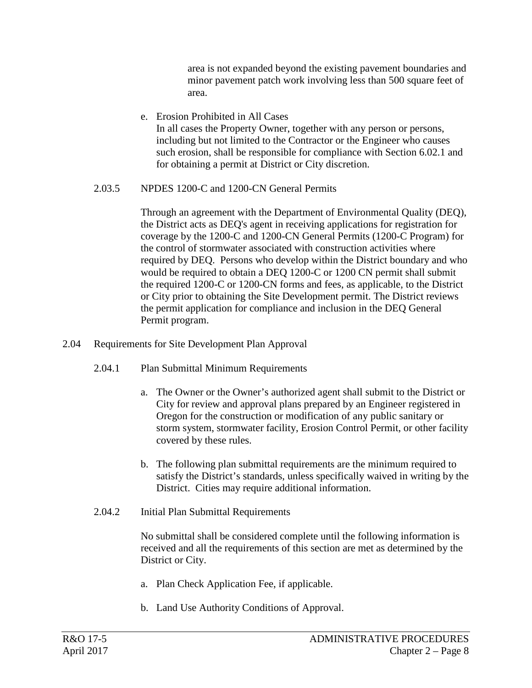area is not expanded beyond the existing pavement boundaries and minor pavement patch work involving less than 500 square feet of area.

e. Erosion Prohibited in All Cases In all cases the Property Owner, together with any person or persons, including but not limited to the Contractor or the Engineer who causes such erosion, shall be responsible for compliance with Section 6.02.1 and for obtaining a permit at District or City discretion.

# 2.03.5 NPDES 1200-C and 1200-CN General Permits

Through an agreement with the Department of Environmental Quality (DEQ), the District acts as DEQ's agent in receiving applications for registration for coverage by the 1200-C and 1200-CN General Permits (1200-C Program) for the control of stormwater associated with construction activities where required by DEQ. Persons who develop within the District boundary and who would be required to obtain a DEQ 1200-C or 1200 CN permit shall submit the required 1200-C or 1200-CN forms and fees, as applicable, to the District or City prior to obtaining the Site Development permit. The District reviews the permit application for compliance and inclusion in the DEQ General Permit program.

- 2.04 Requirements for Site Development Plan Approval
	- 2.04.1 Plan Submittal Minimum Requirements
		- a. The Owner or the Owner's authorized agent shall submit to the District or City for review and approval plans prepared by an Engineer registered in Oregon for the construction or modification of any public sanitary or storm system, stormwater facility, Erosion Control Permit, or other facility covered by these rules.
		- b. The following plan submittal requirements are the minimum required to satisfy the District's standards, unless specifically waived in writing by the District. Cities may require additional information.
	- 2.04.2 Initial Plan Submittal Requirements

No submittal shall be considered complete until the following information is received and all the requirements of this section are met as determined by the District or City.

- a. Plan Check Application Fee, if applicable.
- b. Land Use Authority Conditions of Approval.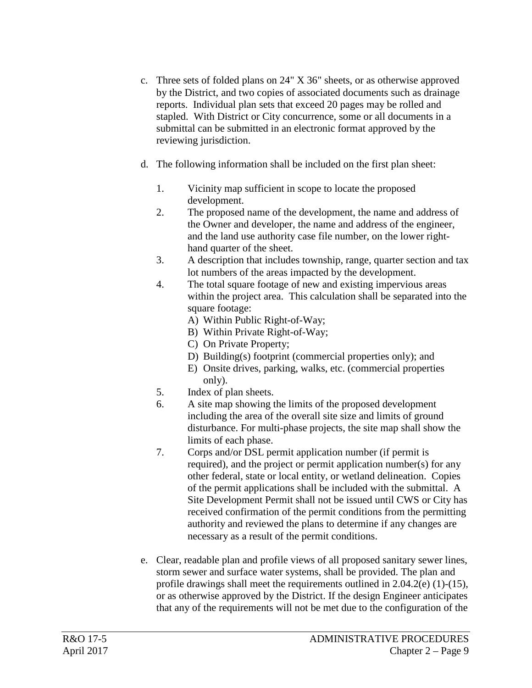- c. Three sets of folded plans on 24" X 36" sheets, or as otherwise approved by the District, and two copies of associated documents such as drainage reports. Individual plan sets that exceed 20 pages may be rolled and stapled. With District or City concurrence, some or all documents in a submittal can be submitted in an electronic format approved by the reviewing jurisdiction.
- d. The following information shall be included on the first plan sheet:
	- 1. Vicinity map sufficient in scope to locate the proposed development.
	- 2. The proposed name of the development, the name and address of the Owner and developer, the name and address of the engineer, and the land use authority case file number, on the lower righthand quarter of the sheet.
	- 3. A description that includes township, range, quarter section and tax lot numbers of the areas impacted by the development.
	- 4. The total square footage of new and existing impervious areas within the project area. This calculation shall be separated into the square footage:
		- A) Within Public Right-of-Way;
		- B) Within Private Right-of-Way;
		- C) On Private Property;
		- D) Building(s) footprint (commercial properties only); and
		- E) Onsite drives, parking, walks, etc. (commercial properties only).
	- 5. Index of plan sheets.
	- 6. A site map showing the limits of the proposed development including the area of the overall site size and limits of ground disturbance. For multi-phase projects, the site map shall show the limits of each phase.
	- 7. Corps and/or DSL permit application number (if permit is required), and the project or permit application number(s) for any other federal, state or local entity, or wetland delineation. Copies of the permit applications shall be included with the submittal. A Site Development Permit shall not be issued until CWS or City has received confirmation of the permit conditions from the permitting authority and reviewed the plans to determine if any changes are necessary as a result of the permit conditions.
- e. Clear, readable plan and profile views of all proposed sanitary sewer lines, storm sewer and surface water systems, shall be provided. The plan and profile drawings shall meet the requirements outlined in 2.04.2(e) (1)-(15), or as otherwise approved by the District. If the design Engineer anticipates that any of the requirements will not be met due to the configuration of the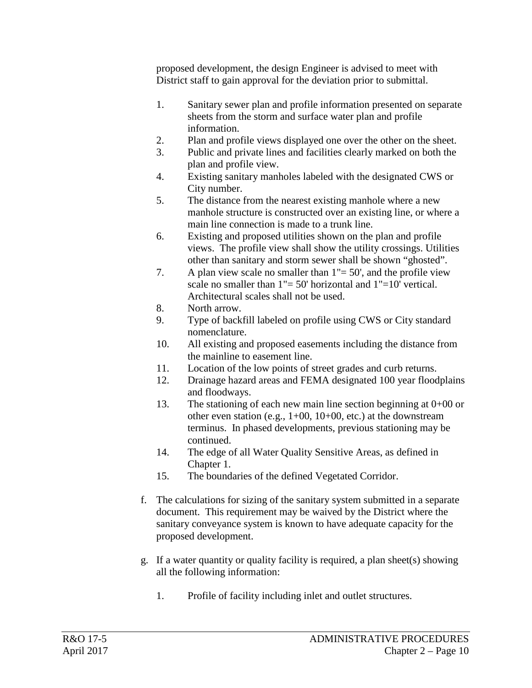proposed development, the design Engineer is advised to meet with District staff to gain approval for the deviation prior to submittal.

- 1. Sanitary sewer plan and profile information presented on separate sheets from the storm and surface water plan and profile information.
- 2. Plan and profile views displayed one over the other on the sheet.
- 3. Public and private lines and facilities clearly marked on both the plan and profile view.
- 4. Existing sanitary manholes labeled with the designated CWS or City number.
- 5. The distance from the nearest existing manhole where a new manhole structure is constructed over an existing line, or where a main line connection is made to a trunk line.
- 6. Existing and proposed utilities shown on the plan and profile views. The profile view shall show the utility crossings. Utilities other than sanitary and storm sewer shall be shown "ghosted".
- 7. A plan view scale no smaller than  $1" = 50'$ , and the profile view scale no smaller than  $1" = 50'$  horizontal and  $1" = 10'$  vertical. Architectural scales shall not be used.
- 8. North arrow.
- 9. Type of backfill labeled on profile using CWS or City standard nomenclature.
- 10. All existing and proposed easements including the distance from the mainline to easement line.
- 11. Location of the low points of street grades and curb returns.
- 12. Drainage hazard areas and FEMA designated 100 year floodplains and floodways.
- 13. The stationing of each new main line section beginning at 0+00 or other even station (e.g., 1+00, 10+00, etc.) at the downstream terminus. In phased developments, previous stationing may be continued.
- 14. The edge of all Water Quality Sensitive Areas, as defined in Chapter 1.
- 15. The boundaries of the defined Vegetated Corridor.
- f. The calculations for sizing of the sanitary system submitted in a separate document. This requirement may be waived by the District where the sanitary conveyance system is known to have adequate capacity for the proposed development.
- g. If a water quantity or quality facility is required, a plan sheet(s) showing all the following information:
	- 1. Profile of facility including inlet and outlet structures.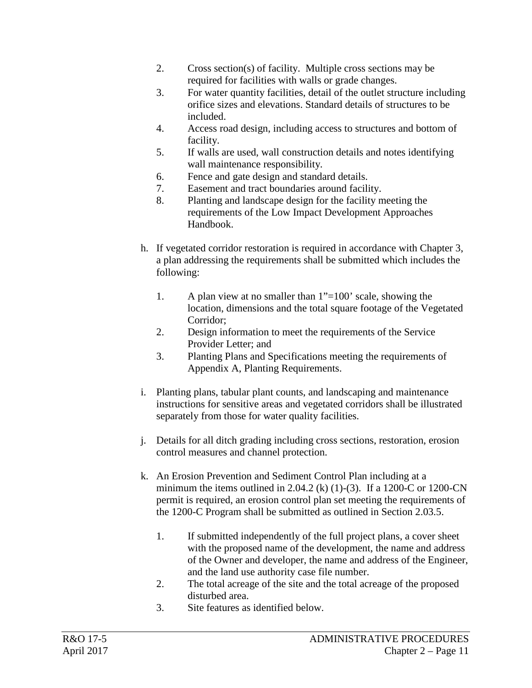- 2. Cross section(s) of facility. Multiple cross sections may be required for facilities with walls or grade changes.
- 3. For water quantity facilities, detail of the outlet structure including orifice sizes and elevations. Standard details of structures to be included.
- 4. Access road design, including access to structures and bottom of facility.
- 5. If walls are used, wall construction details and notes identifying wall maintenance responsibility.
- 6. Fence and gate design and standard details.
- 7. Easement and tract boundaries around facility.
- 8. Planting and landscape design for the facility meeting the requirements of the Low Impact Development Approaches Handbook.
- h. If vegetated corridor restoration is required in accordance with Chapter 3, a plan addressing the requirements shall be submitted which includes the following:
	- 1. A plan view at no smaller than 1"=100' scale, showing the location, dimensions and the total square footage of the Vegetated Corridor;
	- 2. Design information to meet the requirements of the Service Provider Letter; and
	- 3. Planting Plans and Specifications meeting the requirements of Appendix A, Planting Requirements.
- i. Planting plans, tabular plant counts, and landscaping and maintenance instructions for sensitive areas and vegetated corridors shall be illustrated separately from those for water quality facilities.
- j. Details for all ditch grading including cross sections, restoration, erosion control measures and channel protection.
- k. An Erosion Prevention and Sediment Control Plan including at a minimum the items outlined in 2.04.2 (k) (1)-(3). If a 1200-C or 1200-CN permit is required, an erosion control plan set meeting the requirements of the 1200-C Program shall be submitted as outlined in Section 2.03.5.
	- 1. If submitted independently of the full project plans, a cover sheet with the proposed name of the development, the name and address of the Owner and developer, the name and address of the Engineer, and the land use authority case file number.
	- 2. The total acreage of the site and the total acreage of the proposed disturbed area.
	- 3. Site features as identified below.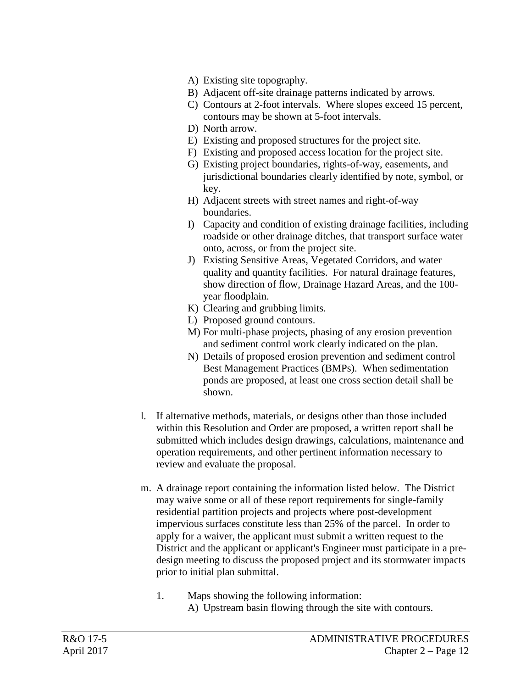- A) Existing site topography.
- B) Adjacent off-site drainage patterns indicated by arrows.
- C) Contours at 2-foot intervals. Where slopes exceed 15 percent, contours may be shown at 5-foot intervals.
- D) North arrow.
- E) Existing and proposed structures for the project site.
- F) Existing and proposed access location for the project site.
- G) Existing project boundaries, rights-of-way, easements, and jurisdictional boundaries clearly identified by note, symbol, or key.
- H) Adjacent streets with street names and right-of-way boundaries.
- I) Capacity and condition of existing drainage facilities, including roadside or other drainage ditches, that transport surface water onto, across, or from the project site.
- J) Existing Sensitive Areas, Vegetated Corridors, and water quality and quantity facilities. For natural drainage features, show direction of flow, Drainage Hazard Areas, and the 100 year floodplain.
- K) Clearing and grubbing limits.
- L) Proposed ground contours.
- M) For multi-phase projects, phasing of any erosion prevention and sediment control work clearly indicated on the plan.
- N) Details of proposed erosion prevention and sediment control Best Management Practices (BMPs). When sedimentation ponds are proposed, at least one cross section detail shall be shown.
- l. If alternative methods, materials, or designs other than those included within this Resolution and Order are proposed, a written report shall be submitted which includes design drawings, calculations, maintenance and operation requirements, and other pertinent information necessary to review and evaluate the proposal.
- m. A drainage report containing the information listed below. The District may waive some or all of these report requirements for single-family residential partition projects and projects where post-development impervious surfaces constitute less than 25% of the parcel. In order to apply for a waiver, the applicant must submit a written request to the District and the applicant or applicant's Engineer must participate in a predesign meeting to discuss the proposed project and its stormwater impacts prior to initial plan submittal.
	- 1. Maps showing the following information: A) Upstream basin flowing through the site with contours.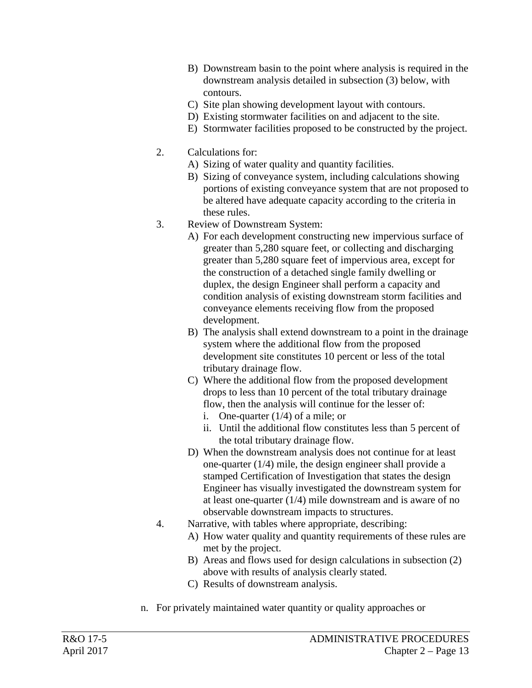- B) Downstream basin to the point where analysis is required in the downstream analysis detailed in subsection (3) below, with contours.
- C) Site plan showing development layout with contours.
- D) Existing stormwater facilities on and adjacent to the site.
- E) Stormwater facilities proposed to be constructed by the project.
- 2. Calculations for:
	- A) Sizing of water quality and quantity facilities.
	- B) Sizing of conveyance system, including calculations showing portions of existing conveyance system that are not proposed to be altered have adequate capacity according to the criteria in these rules.
- 3. Review of Downstream System:
	- A) For each development constructing new impervious surface of greater than 5,280 square feet, or collecting and discharging greater than 5,280 square feet of impervious area, except for the construction of a detached single family dwelling or duplex, the design Engineer shall perform a capacity and condition analysis of existing downstream storm facilities and conveyance elements receiving flow from the proposed development.
	- B) The analysis shall extend downstream to a point in the drainage system where the additional flow from the proposed development site constitutes 10 percent or less of the total tributary drainage flow.
	- C) Where the additional flow from the proposed development drops to less than 10 percent of the total tributary drainage flow, then the analysis will continue for the lesser of:
		- i. One-quarter (1/4) of a mile; or
		- ii. Until the additional flow constitutes less than 5 percent of the total tributary drainage flow.
	- D) When the downstream analysis does not continue for at least one-quarter (1/4) mile, the design engineer shall provide a stamped Certification of Investigation that states the design Engineer has visually investigated the downstream system for at least one-quarter (1/4) mile downstream and is aware of no observable downstream impacts to structures.
- 4. Narrative, with tables where appropriate, describing:
	- A) How water quality and quantity requirements of these rules are met by the project.
	- B) Areas and flows used for design calculations in subsection (2) above with results of analysis clearly stated.
	- C) Results of downstream analysis.
- n. For privately maintained water quantity or quality approaches or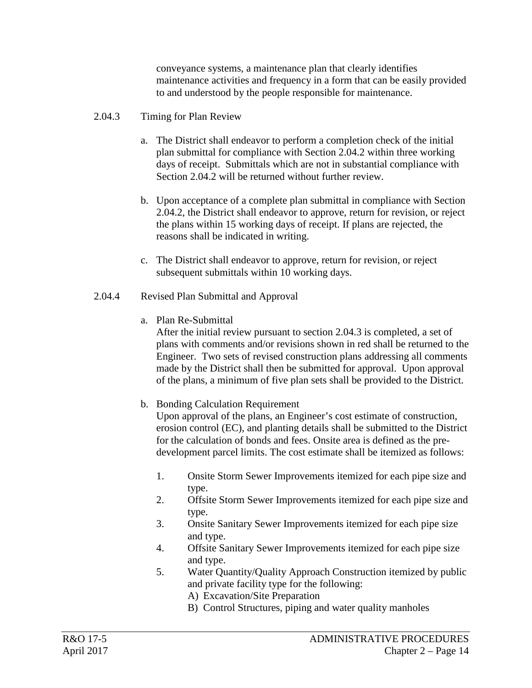conveyance systems, a maintenance plan that clearly identifies maintenance activities and frequency in a form that can be easily provided to and understood by the people responsible for maintenance.

# 2.04.3 Timing for Plan Review

- a. The District shall endeavor to perform a completion check of the initial plan submittal for compliance with Section 2.04.2 within three working days of receipt. Submittals which are not in substantial compliance with Section 2.04.2 will be returned without further review.
- b. Upon acceptance of a complete plan submittal in compliance with Section 2.04.2, the District shall endeavor to approve, return for revision, or reject the plans within 15 working days of receipt. If plans are rejected, the reasons shall be indicated in writing.
- c. The District shall endeavor to approve, return for revision, or reject subsequent submittals within 10 working days.
- 2.04.4 Revised Plan Submittal and Approval
	- a. Plan Re-Submittal

After the initial review pursuant to section 2.04.3 is completed, a set of plans with comments and/or revisions shown in red shall be returned to the Engineer. Two sets of revised construction plans addressing all comments made by the District shall then be submitted for approval. Upon approval of the plans, a minimum of five plan sets shall be provided to the District.

b. Bonding Calculation Requirement

Upon approval of the plans, an Engineer's cost estimate of construction, erosion control (EC), and planting details shall be submitted to the District for the calculation of bonds and fees. Onsite area is defined as the predevelopment parcel limits. The cost estimate shall be itemized as follows:

- 1. Onsite Storm Sewer Improvements itemized for each pipe size and type.
- 2. Offsite Storm Sewer Improvements itemized for each pipe size and type.
- 3. Onsite Sanitary Sewer Improvements itemized for each pipe size and type.
- 4. Offsite Sanitary Sewer Improvements itemized for each pipe size and type.
- 5. Water Quantity/Quality Approach Construction itemized by public and private facility type for the following:
	- A) Excavation/Site Preparation
	- B) Control Structures, piping and water quality manholes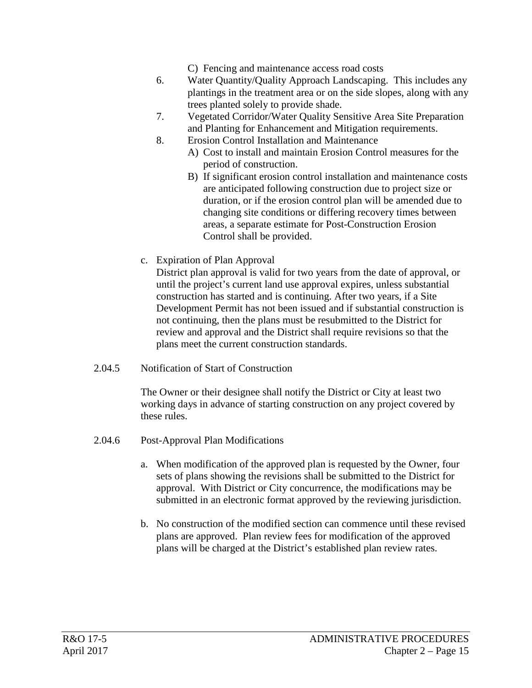C) Fencing and maintenance access road costs

- 6. Water Quantity/Quality Approach Landscaping. This includes any plantings in the treatment area or on the side slopes, along with any trees planted solely to provide shade.
- 7. Vegetated Corridor/Water Quality Sensitive Area Site Preparation and Planting for Enhancement and Mitigation requirements.
- 8. Erosion Control Installation and Maintenance
	- A) Cost to install and maintain Erosion Control measures for the period of construction.
	- B) If significant erosion control installation and maintenance costs are anticipated following construction due to project size or duration, or if the erosion control plan will be amended due to changing site conditions or differing recovery times between areas, a separate estimate for Post-Construction Erosion Control shall be provided.
- c. Expiration of Plan Approval District plan approval is valid for two years from the date of approval, or until the project's current land use approval expires, unless substantial construction has started and is continuing. After two years, if a Site Development Permit has not been issued and if substantial construction is not continuing, then the plans must be resubmitted to the District for review and approval and the District shall require revisions so that the plans meet the current construction standards.
- 2.04.5 Notification of Start of Construction

The Owner or their designee shall notify the District or City at least two working days in advance of starting construction on any project covered by these rules.

- 2.04.6 Post-Approval Plan Modifications
	- a. When modification of the approved plan is requested by the Owner, four sets of plans showing the revisions shall be submitted to the District for approval. With District or City concurrence, the modifications may be submitted in an electronic format approved by the reviewing jurisdiction.
	- b. No construction of the modified section can commence until these revised plans are approved. Plan review fees for modification of the approved plans will be charged at the District's established plan review rates.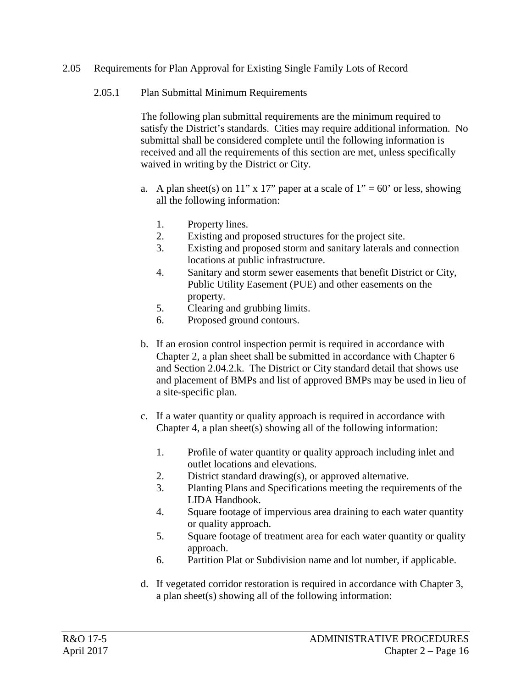#### 2.05 Requirements for Plan Approval for Existing Single Family Lots of Record

### 2.05.1 Plan Submittal Minimum Requirements

The following plan submittal requirements are the minimum required to satisfy the District's standards. Cities may require additional information. No submittal shall be considered complete until the following information is received and all the requirements of this section are met, unless specifically waived in writing by the District or City.

- a. A plan sheet(s) on 11" x 17" paper at a scale of  $1" = 60"$  or less, showing all the following information:
	- 1. Property lines.
	- 2. Existing and proposed structures for the project site.
	- 3. Existing and proposed storm and sanitary laterals and connection locations at public infrastructure.
	- 4. Sanitary and storm sewer easements that benefit District or City, Public Utility Easement (PUE) and other easements on the property.
	- 5. Clearing and grubbing limits.
	- 6. Proposed ground contours.
- b. If an erosion control inspection permit is required in accordance with Chapter 2, a plan sheet shall be submitted in accordance with Chapter 6 and Section 2.04.2.k. The District or City standard detail that shows use and placement of BMPs and list of approved BMPs may be used in lieu of a site-specific plan.
- c. If a water quantity or quality approach is required in accordance with Chapter 4, a plan sheet(s) showing all of the following information:
	- 1. Profile of water quantity or quality approach including inlet and outlet locations and elevations.
	- 2. District standard drawing(s), or approved alternative.
	- 3. Planting Plans and Specifications meeting the requirements of the LIDA Handbook.
	- 4. Square footage of impervious area draining to each water quantity or quality approach.
	- 5. Square footage of treatment area for each water quantity or quality approach.
	- 6. Partition Plat or Subdivision name and lot number, if applicable.
- d. If vegetated corridor restoration is required in accordance with Chapter 3, a plan sheet(s) showing all of the following information: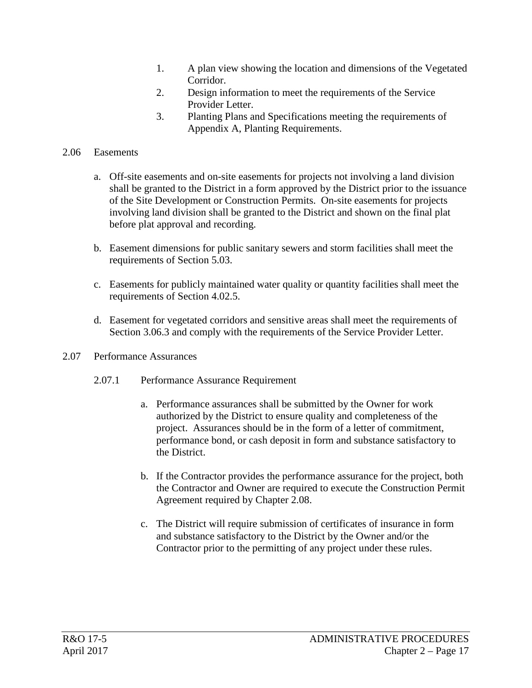- 1. A plan view showing the location and dimensions of the Vegetated Corridor.
- 2. Design information to meet the requirements of the Service Provider Letter.
- 3. Planting Plans and Specifications meeting the requirements of Appendix A, Planting Requirements.

### 2.06 Easements

- a. Off-site easements and on-site easements for projects not involving a land division shall be granted to the District in a form approved by the District prior to the issuance of the Site Development or Construction Permits. On-site easements for projects involving land division shall be granted to the District and shown on the final plat before plat approval and recording.
- b. Easement dimensions for public sanitary sewers and storm facilities shall meet the requirements of Section 5.03.
- c. Easements for publicly maintained water quality or quantity facilities shall meet the requirements of Section 4.02.5.
- d. Easement for vegetated corridors and sensitive areas shall meet the requirements of Section 3.06.3 and comply with the requirements of the Service Provider Letter.
- 2.07 Performance Assurances
	- 2.07.1 Performance Assurance Requirement
		- a. Performance assurances shall be submitted by the Owner for work authorized by the District to ensure quality and completeness of the project. Assurances should be in the form of a letter of commitment, performance bond, or cash deposit in form and substance satisfactory to the District.
		- b. If the Contractor provides the performance assurance for the project, both the Contractor and Owner are required to execute the Construction Permit Agreement required by Chapter 2.08.
		- c. The District will require submission of certificates of insurance in form and substance satisfactory to the District by the Owner and/or the Contractor prior to the permitting of any project under these rules.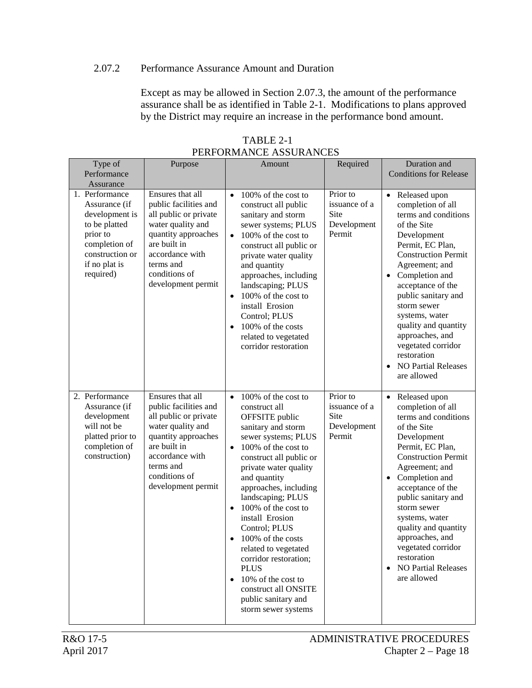#### 2.07.2 Performance Assurance Amount and Duration

Except as may be allowed in Section 2.07.3, the amount of the performance assurance shall be as identified in Table 2-1. Modifications to plans approved by the District may require an increase in the performance bond amount.

|                                                                                                                                                  |                                                                                                                                                                                                       | <b>THE ORIGINAL REGISTER OF LATE</b>                                                                                                                                                                                                                                                                                                                                                                                                                                                                               |                                                                   |                                                                                                                                                                                                                                                                                                                                                                                                                    |
|--------------------------------------------------------------------------------------------------------------------------------------------------|-------------------------------------------------------------------------------------------------------------------------------------------------------------------------------------------------------|--------------------------------------------------------------------------------------------------------------------------------------------------------------------------------------------------------------------------------------------------------------------------------------------------------------------------------------------------------------------------------------------------------------------------------------------------------------------------------------------------------------------|-------------------------------------------------------------------|--------------------------------------------------------------------------------------------------------------------------------------------------------------------------------------------------------------------------------------------------------------------------------------------------------------------------------------------------------------------------------------------------------------------|
| Type of<br>Performance                                                                                                                           | Purpose                                                                                                                                                                                               | Amount                                                                                                                                                                                                                                                                                                                                                                                                                                                                                                             | Required                                                          | Duration and<br><b>Conditions for Release</b>                                                                                                                                                                                                                                                                                                                                                                      |
| Assurance                                                                                                                                        |                                                                                                                                                                                                       |                                                                                                                                                                                                                                                                                                                                                                                                                                                                                                                    |                                                                   |                                                                                                                                                                                                                                                                                                                                                                                                                    |
| 1. Performance<br>Assurance (if<br>development is<br>to be platted<br>prior to<br>completion of<br>construction or<br>if no plat is<br>required) | Ensures that all<br>public facilities and<br>all public or private<br>water quality and<br>quantity approaches<br>are built in<br>accordance with<br>terms and<br>conditions of<br>development permit | $\bullet$<br>100% of the cost to<br>construct all public<br>sanitary and storm<br>sewer systems; PLUS<br>100% of the cost to<br>$\bullet$<br>construct all public or<br>private water quality<br>and quantity<br>approaches, including<br>landscaping; PLUS<br>100% of the cost to<br>install Erosion<br>Control; PLUS<br>100% of the costs<br>related to vegetated<br>corridor restoration                                                                                                                        | Prior to<br>issuance of a<br>Site<br>Development<br>Permit        | • Released upon<br>completion of all<br>terms and conditions<br>of the Site<br>Development<br>Permit, EC Plan,<br><b>Construction Permit</b><br>Agreement; and<br>Completion and<br>acceptance of the<br>public sanitary and<br>storm sewer<br>systems, water<br>quality and quantity<br>approaches, and<br>vegetated corridor<br>restoration<br><b>NO Partial Releases</b><br>are allowed                         |
| 2. Performance<br>Assurance (if<br>development<br>will not be<br>platted prior to<br>completion of<br>construction)                              | Ensures that all<br>public facilities and<br>all public or private<br>water quality and<br>quantity approaches<br>are built in<br>accordance with<br>terms and<br>conditions of<br>development permit | 100% of the cost to<br>$\bullet$<br>construct all<br>OFFSITE public<br>sanitary and storm<br>sewer systems; PLUS<br>100% of the cost to<br>construct all public or<br>private water quality<br>and quantity<br>approaches, including<br>landscaping; PLUS<br>100% of the cost to<br>install Erosion<br>Control; PLUS<br>100% of the costs<br>related to vegetated<br>corridor restoration;<br><b>PLUS</b><br>10% of the cost to<br>$\bullet$<br>construct all ONSITE<br>public sanitary and<br>storm sewer systems | Prior to<br>issuance of a<br><b>Site</b><br>Development<br>Permit | Released upon<br>$\bullet$<br>completion of all<br>terms and conditions<br>of the Site<br>Development<br>Permit, EC Plan,<br><b>Construction Permit</b><br>Agreement; and<br>Completion and<br>acceptance of the<br>public sanitary and<br>storm sewer<br>systems, water<br>quality and quantity<br>approaches, and<br>vegetated corridor<br>restoration<br><b>NO Partial Releases</b><br>$\bullet$<br>are allowed |

TABLE 2-1 PERFORMANCE ASSURANCES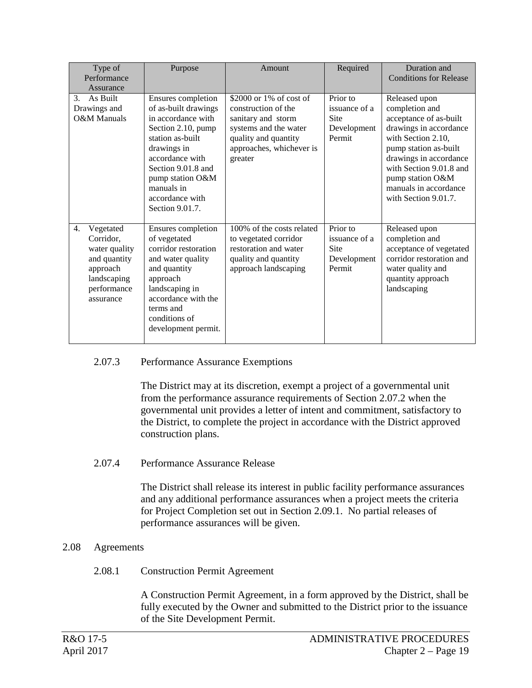| Type of<br>Performance<br>Assurance                                                                                  | Purpose                                                                                                                                                                                                                                    | Amount                                                                                                                                                       | Required                                                          | Duration and<br><b>Conditions for Release</b>                                                                                                                                                                                                                |
|----------------------------------------------------------------------------------------------------------------------|--------------------------------------------------------------------------------------------------------------------------------------------------------------------------------------------------------------------------------------------|--------------------------------------------------------------------------------------------------------------------------------------------------------------|-------------------------------------------------------------------|--------------------------------------------------------------------------------------------------------------------------------------------------------------------------------------------------------------------------------------------------------------|
| As Built<br>3.<br>Drawings and<br>O&M Manuals                                                                        | Ensures completion<br>of as-built drawings<br>in accordance with<br>Section 2.10, pump<br>station as-built<br>drawings in<br>accordance with<br>Section 9.01.8 and<br>pump station O&M<br>manuals in<br>accordance with<br>Section 9.01.7. | \$2000 or 1% of cost of<br>construction of the<br>sanitary and storm<br>systems and the water<br>quality and quantity<br>approaches, whichever is<br>greater | Prior to<br>issuance of a<br><b>Site</b><br>Development<br>Permit | Released upon<br>completion and<br>acceptance of as-built<br>drawings in accordance<br>with Section 2.10,<br>pump station as-built<br>drawings in accordance<br>with Section 9.01.8 and<br>pump station O&M<br>manuals in accordance<br>with Section 9.01.7. |
| 4.<br>Vegetated<br>Corridor,<br>water quality<br>and quantity<br>approach<br>landscaping<br>performance<br>assurance | Ensures completion<br>of vegetated<br>corridor restoration<br>and water quality<br>and quantity<br>approach<br>landscaping in<br>accordance with the<br>terms and<br>conditions of<br>development permit.                                  | 100% of the costs related<br>to vegetated corridor<br>restoration and water<br>quality and quantity<br>approach landscaping                                  | Prior to<br>issuance of a<br><b>Site</b><br>Development<br>Permit | Released upon<br>completion and<br>acceptance of vegetated<br>corridor restoration and<br>water quality and<br>quantity approach<br>landscaping                                                                                                              |

### 2.07.3 Performance Assurance Exemptions

The District may at its discretion, exempt a project of a governmental unit from the performance assurance requirements of Section 2.07.2 when the governmental unit provides a letter of intent and commitment, satisfactory to the District, to complete the project in accordance with the District approved construction plans.

#### 2.07.4 Performance Assurance Release

The District shall release its interest in public facility performance assurances and any additional performance assurances when a project meets the criteria for Project Completion set out in Section 2.09.1. No partial releases of performance assurances will be given.

#### 2.08 Agreements

#### 2.08.1 Construction Permit Agreement

A Construction Permit Agreement, in a form approved by the District, shall be fully executed by the Owner and submitted to the District prior to the issuance of the Site Development Permit.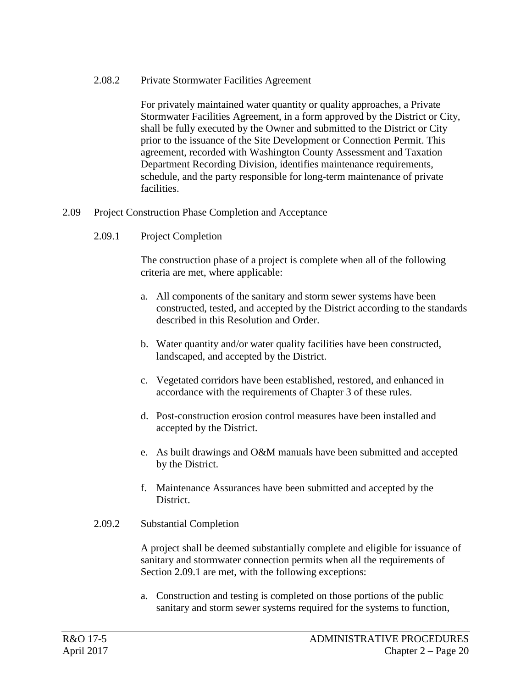#### 2.08.2 Private Stormwater Facilities Agreement

For privately maintained water quantity or quality approaches, a Private Stormwater Facilities Agreement, in a form approved by the District or City, shall be fully executed by the Owner and submitted to the District or City prior to the issuance of the Site Development or Connection Permit. This agreement, recorded with Washington County Assessment and Taxation Department Recording Division, identifies maintenance requirements, schedule, and the party responsible for long-term maintenance of private facilities.

#### 2.09 Project Construction Phase Completion and Acceptance

2.09.1 Project Completion

The construction phase of a project is complete when all of the following criteria are met, where applicable:

- a. All components of the sanitary and storm sewer systems have been constructed, tested, and accepted by the District according to the standards described in this Resolution and Order.
- b. Water quantity and/or water quality facilities have been constructed, landscaped, and accepted by the District.
- c. Vegetated corridors have been established, restored, and enhanced in accordance with the requirements of Chapter 3 of these rules.
- d. Post-construction erosion control measures have been installed and accepted by the District.
- e. As built drawings and O&M manuals have been submitted and accepted by the District.
- f. Maintenance Assurances have been submitted and accepted by the District.

#### 2.09.2 Substantial Completion

A project shall be deemed substantially complete and eligible for issuance of sanitary and stormwater connection permits when all the requirements of Section 2.09.1 are met, with the following exceptions:

a. Construction and testing is completed on those portions of the public sanitary and storm sewer systems required for the systems to function,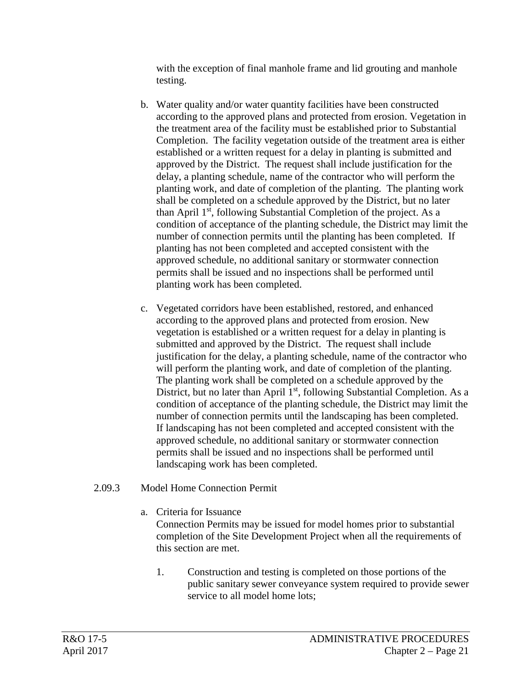with the exception of final manhole frame and lid grouting and manhole testing.

- b. Water quality and/or water quantity facilities have been constructed according to the approved plans and protected from erosion. Vegetation in the treatment area of the facility must be established prior to Substantial Completion. The facility vegetation outside of the treatment area is either established or a written request for a delay in planting is submitted and approved by the District. The request shall include justification for the delay, a planting schedule, name of the contractor who will perform the planting work, and date of completion of the planting. The planting work shall be completed on a schedule approved by the District, but no later than April  $1<sup>st</sup>$ , following Substantial Completion of the project. As a condition of acceptance of the planting schedule, the District may limit the number of connection permits until the planting has been completed. If planting has not been completed and accepted consistent with the approved schedule, no additional sanitary or stormwater connection permits shall be issued and no inspections shall be performed until planting work has been completed.
- c. Vegetated corridors have been established, restored, and enhanced according to the approved plans and protected from erosion. New vegetation is established or a written request for a delay in planting is submitted and approved by the District. The request shall include justification for the delay, a planting schedule, name of the contractor who will perform the planting work, and date of completion of the planting. The planting work shall be completed on a schedule approved by the District, but no later than April  $1<sup>st</sup>$ , following Substantial Completion. As a condition of acceptance of the planting schedule, the District may limit the number of connection permits until the landscaping has been completed. If landscaping has not been completed and accepted consistent with the approved schedule, no additional sanitary or stormwater connection permits shall be issued and no inspections shall be performed until landscaping work has been completed.

# 2.09.3 Model Home Connection Permit

a. Criteria for Issuance

Connection Permits may be issued for model homes prior to substantial completion of the Site Development Project when all the requirements of this section are met.

1. Construction and testing is completed on those portions of the public sanitary sewer conveyance system required to provide sewer service to all model home lots;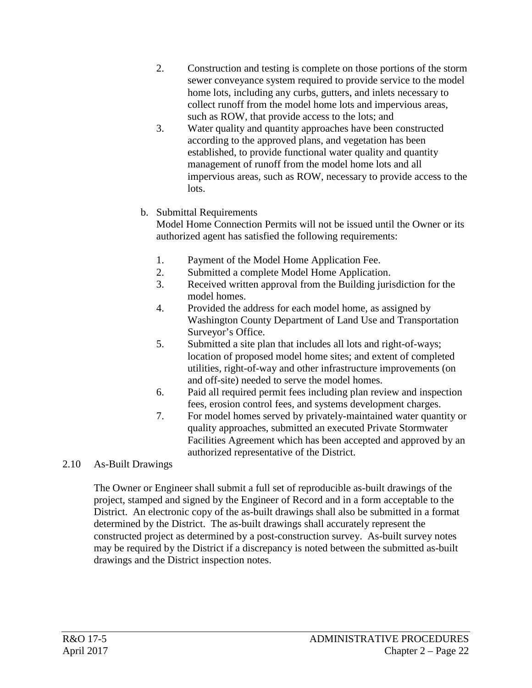- 2. Construction and testing is complete on those portions of the storm sewer conveyance system required to provide service to the model home lots, including any curbs, gutters, and inlets necessary to collect runoff from the model home lots and impervious areas, such as ROW, that provide access to the lots; and
- 3. Water quality and quantity approaches have been constructed according to the approved plans, and vegetation has been established, to provide functional water quality and quantity management of runoff from the model home lots and all impervious areas, such as ROW, necessary to provide access to the lots.

# b. Submittal Requirements

Model Home Connection Permits will not be issued until the Owner or its authorized agent has satisfied the following requirements:

- 1. Payment of the Model Home Application Fee.
- 2. Submitted a complete Model Home Application.
- 3. Received written approval from the Building jurisdiction for the model homes.
- 4. Provided the address for each model home, as assigned by Washington County Department of Land Use and Transportation Surveyor's Office.
- 5. Submitted a site plan that includes all lots and right-of-ways; location of proposed model home sites; and extent of completed utilities, right-of-way and other infrastructure improvements (on and off-site) needed to serve the model homes.
- 6. Paid all required permit fees including plan review and inspection fees, erosion control fees, and systems development charges.
- 7. For model homes served by privately-maintained water quantity or quality approaches, submitted an executed Private Stormwater Facilities Agreement which has been accepted and approved by an authorized representative of the District.

# 2.10 As-Built Drawings

The Owner or Engineer shall submit a full set of reproducible as-built drawings of the project, stamped and signed by the Engineer of Record and in a form acceptable to the District. An electronic copy of the as-built drawings shall also be submitted in a format determined by the District. The as-built drawings shall accurately represent the constructed project as determined by a post-construction survey. As-built survey notes may be required by the District if a discrepancy is noted between the submitted as-built drawings and the District inspection notes.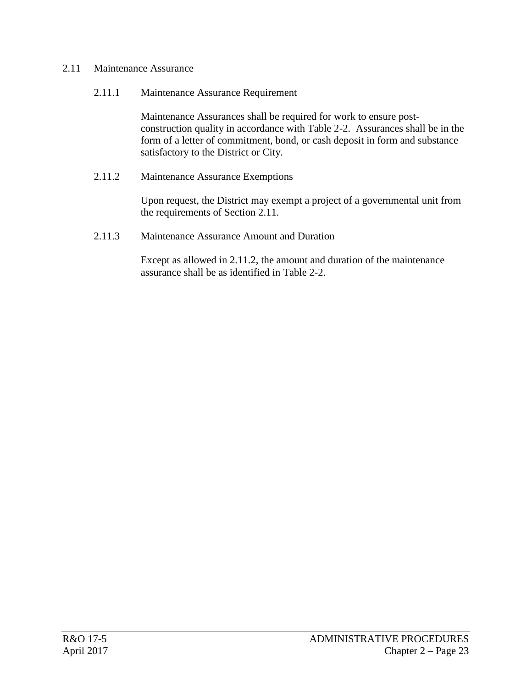### 2.11 Maintenance Assurance

### 2.11.1 Maintenance Assurance Requirement

Maintenance Assurances shall be required for work to ensure postconstruction quality in accordance with Table 2-2. Assurances shall be in the form of a letter of commitment, bond, or cash deposit in form and substance satisfactory to the District or City.

### 2.11.2 Maintenance Assurance Exemptions

Upon request, the District may exempt a project of a governmental unit from the requirements of Section 2.11.

### 2.11.3 Maintenance Assurance Amount and Duration

Except as allowed in 2.11.2, the amount and duration of the maintenance assurance shall be as identified in Table 2-2.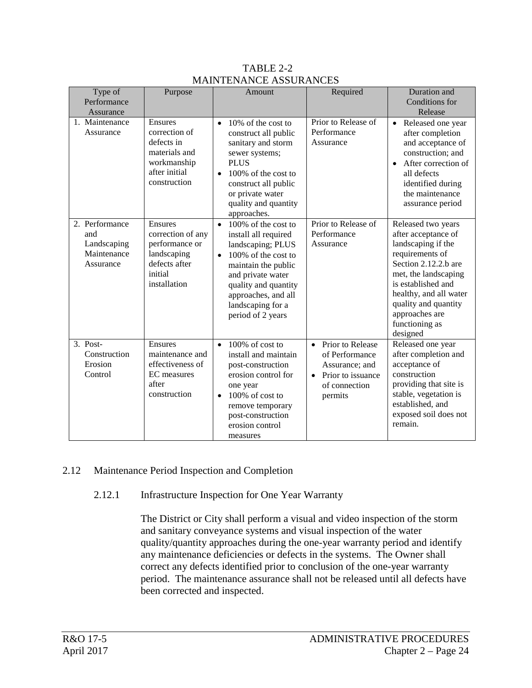| Type of<br>Performance                                           | Purpose                                                                                                   | Amount                                                                                                                                                                                                                                                 | Required                                                                                                           | Duration and<br>Conditions for                                                                                                                                                                                                                             |
|------------------------------------------------------------------|-----------------------------------------------------------------------------------------------------------|--------------------------------------------------------------------------------------------------------------------------------------------------------------------------------------------------------------------------------------------------------|--------------------------------------------------------------------------------------------------------------------|------------------------------------------------------------------------------------------------------------------------------------------------------------------------------------------------------------------------------------------------------------|
| Assurance                                                        |                                                                                                           |                                                                                                                                                                                                                                                        |                                                                                                                    | Release                                                                                                                                                                                                                                                    |
| 1. Maintenance<br>Assurance                                      | Ensures<br>correction of<br>defects in<br>materials and<br>workmanship<br>after initial<br>construction   | 10% of the cost to<br>$\bullet$<br>construct all public<br>sanitary and storm<br>sewer systems;<br><b>PLUS</b><br>100% of the cost to<br>$\bullet$<br>construct all public<br>or private water<br>quality and quantity<br>approaches.                  | Prior to Release of<br>Performance<br>Assurance                                                                    | • Released one year<br>after completion<br>and acceptance of<br>construction; and<br>After correction of<br>$\bullet$<br>all defects<br>identified during<br>the maintenance<br>assurance period                                                           |
| 2. Performance<br>and<br>Landscaping<br>Maintenance<br>Assurance | Ensures<br>correction of any<br>performance or<br>landscaping<br>defects after<br>initial<br>installation | 100% of the cost to<br>$\bullet$<br>install all required<br>landscaping; PLUS<br>100% of the cost to<br>$\bullet$<br>maintain the public<br>and private water<br>quality and quantity<br>approaches, and all<br>landscaping for a<br>period of 2 years | Prior to Release of<br>Performance<br>Assurance                                                                    | Released two years<br>after acceptance of<br>landscaping if the<br>requirements of<br>Section 2.12.2.b are<br>met, the landscaping<br>is established and<br>healthy, and all water<br>quality and quantity<br>approaches are<br>functioning as<br>designed |
| $3.$ Post-<br>Construction<br>Erosion<br>Control                 | Ensures<br>maintenance and<br>effectiveness of<br>EC measures<br>after<br>construction                    | 100% of cost to<br>$\bullet$<br>install and maintain<br>post-construction<br>erosion control for<br>one year<br>$100\%$ of cost to<br>$\bullet$<br>remove temporary<br>post-construction<br>erosion control<br>measures                                | Prior to Release<br>$\bullet$<br>of Performance<br>Assurance; and<br>Prior to issuance<br>of connection<br>permits | Released one year<br>after completion and<br>acceptance of<br>construction<br>providing that site is<br>stable, vegetation is<br>established, and<br>exposed soil does not<br>remain.                                                                      |

### TABLE 2-2 MAINTENANCE ASSURANCES

# 2.12 Maintenance Period Inspection and Completion

### 2.12.1 Infrastructure Inspection for One Year Warranty

The District or City shall perform a visual and video inspection of the storm and sanitary conveyance systems and visual inspection of the water quality/quantity approaches during the one-year warranty period and identify any maintenance deficiencies or defects in the systems. The Owner shall correct any defects identified prior to conclusion of the one-year warranty period. The maintenance assurance shall not be released until all defects have been corrected and inspected.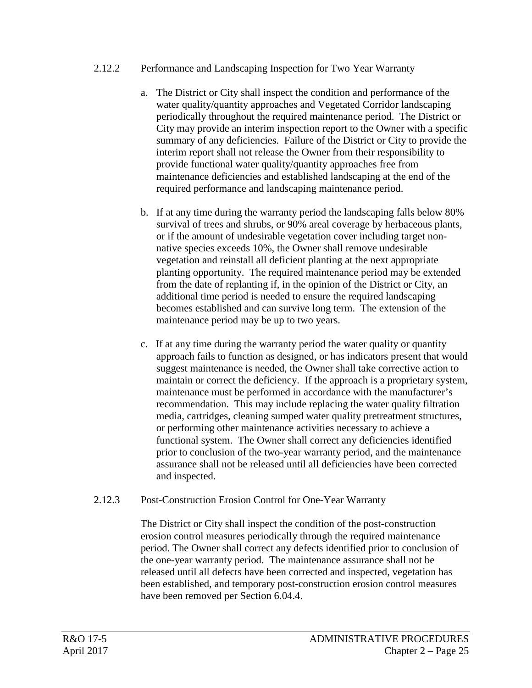### 2.12.2 Performance and Landscaping Inspection for Two Year Warranty

- a. The District or City shall inspect the condition and performance of the water quality/quantity approaches and Vegetated Corridor landscaping periodically throughout the required maintenance period. The District or City may provide an interim inspection report to the Owner with a specific summary of any deficiencies. Failure of the District or City to provide the interim report shall not release the Owner from their responsibility to provide functional water quality/quantity approaches free from maintenance deficiencies and established landscaping at the end of the required performance and landscaping maintenance period.
- b. If at any time during the warranty period the landscaping falls below 80% survival of trees and shrubs, or 90% areal coverage by herbaceous plants, or if the amount of undesirable vegetation cover including target nonnative species exceeds 10%, the Owner shall remove undesirable vegetation and reinstall all deficient planting at the next appropriate planting opportunity. The required maintenance period may be extended from the date of replanting if, in the opinion of the District or City, an additional time period is needed to ensure the required landscaping becomes established and can survive long term. The extension of the maintenance period may be up to two years.
- c. If at any time during the warranty period the water quality or quantity approach fails to function as designed, or has indicators present that would suggest maintenance is needed, the Owner shall take corrective action to maintain or correct the deficiency. If the approach is a proprietary system, maintenance must be performed in accordance with the manufacturer's recommendation. This may include replacing the water quality filtration media, cartridges, cleaning sumped water quality pretreatment structures, or performing other maintenance activities necessary to achieve a functional system. The Owner shall correct any deficiencies identified prior to conclusion of the two-year warranty period, and the maintenance assurance shall not be released until all deficiencies have been corrected and inspected.

### 2.12.3 Post-Construction Erosion Control for One-Year Warranty

The District or City shall inspect the condition of the post-construction erosion control measures periodically through the required maintenance period. The Owner shall correct any defects identified prior to conclusion of the one-year warranty period. The maintenance assurance shall not be released until all defects have been corrected and inspected, vegetation has been established, and temporary post-construction erosion control measures have been removed per Section 6.04.4.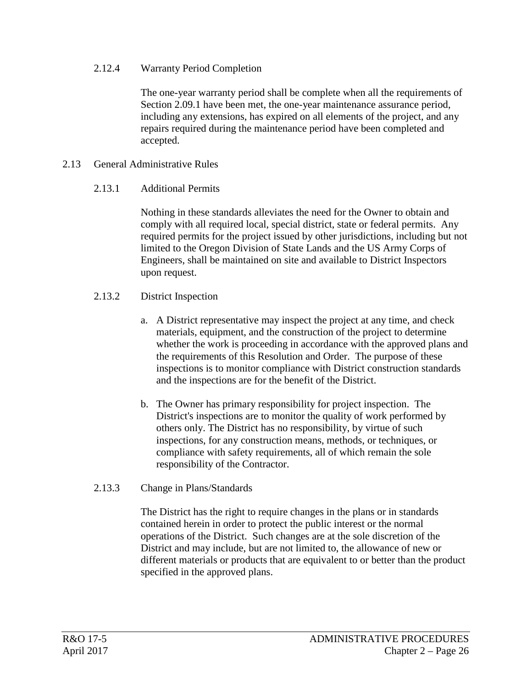### 2.12.4 Warranty Period Completion

The one-year warranty period shall be complete when all the requirements of Section 2.09.1 have been met, the one-year maintenance assurance period, including any extensions, has expired on all elements of the project, and any repairs required during the maintenance period have been completed and accepted.

### 2.13 General Administrative Rules

### 2.13.1 Additional Permits

Nothing in these standards alleviates the need for the Owner to obtain and comply with all required local, special district, state or federal permits. Any required permits for the project issued by other jurisdictions, including but not limited to the Oregon Division of State Lands and the US Army Corps of Engineers, shall be maintained on site and available to District Inspectors upon request.

### 2.13.2 District Inspection

- a. A District representative may inspect the project at any time, and check materials, equipment, and the construction of the project to determine whether the work is proceeding in accordance with the approved plans and the requirements of this Resolution and Order. The purpose of these inspections is to monitor compliance with District construction standards and the inspections are for the benefit of the District.
- b. The Owner has primary responsibility for project inspection. The District's inspections are to monitor the quality of work performed by others only. The District has no responsibility, by virtue of such inspections, for any construction means, methods, or techniques, or compliance with safety requirements, all of which remain the sole responsibility of the Contractor.
- 2.13.3 Change in Plans/Standards

The District has the right to require changes in the plans or in standards contained herein in order to protect the public interest or the normal operations of the District. Such changes are at the sole discretion of the District and may include, but are not limited to, the allowance of new or different materials or products that are equivalent to or better than the product specified in the approved plans.